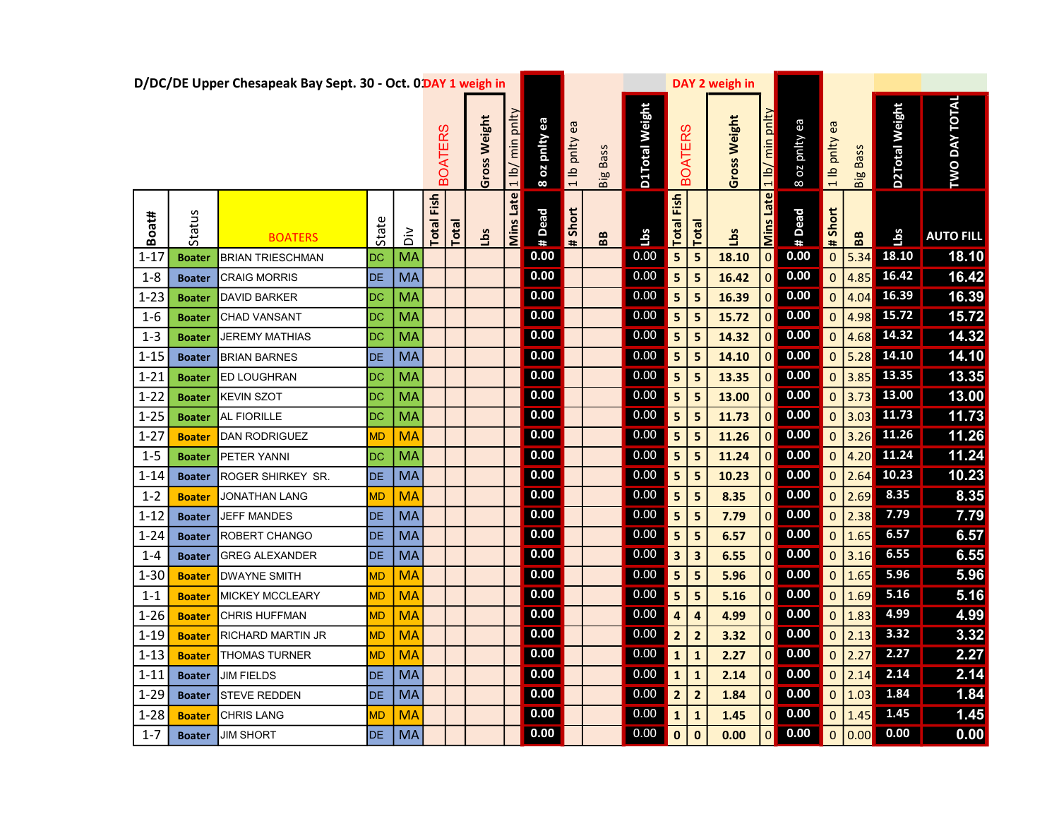|          |               | D/DC/DE Upper Chesapeak Bay Sept. 30 - Oct. 0 DAY 1 weigh in |           |           |                |       |                 |                            |               |                  |                   |                |                         |                         | DAY 2 weigh in |                  |                                                                      |                          |                    |                |                      |
|----------|---------------|--------------------------------------------------------------|-----------|-----------|----------------|-------|-----------------|----------------------------|---------------|------------------|-------------------|----------------|-------------------------|-------------------------|----------------|------------------|----------------------------------------------------------------------|--------------------------|--------------------|----------------|----------------------|
|          |               |                                                              |           |           | <b>BOATERS</b> |       | Weight<br>Gross | min pnlty<br>$\frac{1}{2}$ | 8 oz pnity ea | ea<br>1 lb pnlty | <b>Big Bass</b>   | D1Total Weight |                         | <b>BOATERS</b>          | Gross Weight   | 1 lb/ min pnlty  | B oz pnity ea                                                        | 1 lb pnity ea            | <b>Bass</b><br>Big | D2Total Weight | <b>TWO DAY TOTAL</b> |
| Boat#    | Status        | <b>BOATERS</b>                                               | Stat      | ăά        | Fish<br>Total  | Total | <u>sq</u>       | Mins Late                  | # Dead        | # Short          | ${\bf B} {\bf B}$ | <b>Lbs</b>     | <b>Total Fish</b>       | Total                   | Lbs            | <b>Mins Late</b> | # Dead                                                               | # Short                  | 88                 | Lbs            | <b>AUTO FILL</b>     |
| $1 - 17$ | <b>Boater</b> | <b>BRIAN TRIESCHMAN</b>                                      | <b>DC</b> | <b>MA</b> |                |       |                 |                            | 0.00          |                  |                   | 0.00           | $\overline{\mathbf{5}}$ | 5                       | 18.10          | 0                | 0.00                                                                 | $\mathbf 0$              | 5.34               | 18.10          | 18.10                |
| $1 - 8$  | <b>Boater</b> | <b>CRAIG MORRIS</b>                                          | DE        | MA        |                |       |                 |                            | 0.00          |                  |                   | 0.00           | 5 <sub>5</sub>          | $\vert$ 5               | 16.42          |                  | $0$ 0.00                                                             | $\mathbf 0$              | 4.85               | 16.42          | 16.42                |
| $1 - 23$ | <b>Boater</b> | <b>DAVID BARKER</b>                                          | DC        | <b>MA</b> |                |       |                 |                            | 0.00          |                  |                   | 0.00           | $\vert$ 5               | 5                       | 16.39          |                  | $0$ 0.00                                                             | $\overline{0}$           | 4.04               | 16.39          | 16.39                |
| $1 - 6$  | <b>Boater</b> | <b>CHAD VANSANT</b>                                          | DC        | <b>MA</b> |                |       |                 |                            | 0.00          |                  |                   | 0.00           | 5                       | 5                       | 15.72          | 0                | 0.00                                                                 | O                        | 4.98               | 15.72          | 15.72                |
| $1 - 3$  | <b>Boater</b> | <b>JEREMY MATHIAS</b>                                        | DC        | <b>MA</b> |                |       |                 |                            | 0.00          |                  |                   | 0.00           | $\overline{\mathbf{5}}$ | 5                       | 14.32          | $\overline{0}$   | 0.00                                                                 | $\mathbf 0$              | 4.68               | 14.32          | 14.32                |
| $1 - 15$ | <b>Boater</b> | <b>BRIAN BARNES</b>                                          | <b>DE</b> | MA        |                |       |                 |                            | 0.00          |                  |                   | 0.00           | $\overline{\mathbf{5}}$ | 5                       | 14.10          |                  | $0$ 0.00                                                             | $\mathbf 0$              | 5.28               | 14.10          | 14.10                |
| $1 - 21$ | <b>Boater</b> | <b>ED LOUGHRAN</b>                                           | <b>DC</b> | <b>MA</b> |                |       |                 |                            | 0.00          |                  |                   | 0.00           | $\vert$ 5               | $\overline{\mathbf{5}}$ | 13.35          |                  | $0$ 0.00                                                             | 0                        |                    | 3.85 13.35     | 13.35                |
| $1 - 22$ | <b>Boater</b> | <b>KEVIN SZOT</b>                                            | DC        | <b>MA</b> |                |       |                 |                            | 0.00          |                  |                   | 0.00           | $\overline{\mathbf{5}}$ | 5                       | 13.00          |                  | $\begin{array}{ c c } \hline \textbf{0} & \textbf{0.00} \end{array}$ | $\mathbf 0$              | 3.73               | 13.00          | 13.00                |
| $1 - 25$ | <b>Boater</b> | <b>AL FIORILLE</b>                                           | DC        | <b>MA</b> |                |       |                 |                            | 0.00          |                  |                   | 0.00           | $\overline{\mathbf{5}}$ | 5                       | 11.73          | 0                | 0.00                                                                 | $\mathbf 0$              | $3.03$             | 11.73          | 11.73                |
| $1 - 27$ | <b>Boater</b> | <b>DAN RODRIGUEZ</b>                                         | MD.       | <b>MA</b> |                |       |                 |                            | 0.00          |                  |                   | 0.00           | $\overline{\mathbf{5}}$ | 5                       | 11.26          | 0                | 0.00                                                                 | $\mathbf 0$              | $3.26$             | 11.26          | 11.26                |
| $1 - 5$  | <b>Boater</b> | PETER YANNI                                                  | DC        | <b>MA</b> |                |       |                 |                            | 0.00          |                  |                   | 0.00           | 5 <sup>1</sup>          | $\vert$ 5               | 11.24          |                  | $0$ 0.00                                                             | $\mathbf 0$              | 4.20               | 11.24          | 11.24                |
| $1 - 14$ | <b>Boater</b> | ROGER SHIRKEY SR.                                            | DE        | MA        |                |       |                 |                            | 0.00          |                  |                   | 0.00           | $\vert$ 5               | 5                       | 10.23          |                  | $0$ 0.00                                                             | 0                        | 2.64               | 10.23          | 10.23                |
| $1 - 2$  | <b>Boater</b> | <b>JONATHAN LANG</b>                                         | МD        | <b>MA</b> |                |       |                 |                            | 0.00          |                  |                   | 0.00           | $\vert$ 5               | $\overline{\mathbf{5}}$ | 8.35           | 0                | 0.00                                                                 | O                        | 2.69               | 8.35           | 8.35                 |
| $1 - 12$ | <b>Boater</b> | JEFF MANDES                                                  | DE        | MA        |                |       |                 |                            | 0.00          |                  |                   | 0.00           | $\overline{\mathbf{5}}$ | 5                       | 7.79           | $\overline{0}$   | 0.00                                                                 | $\mathbf 0$              | 2.38               | 7.79           | 7.79                 |
| $1 - 24$ | <b>Boater</b> | <b>ROBERT CHANGO</b>                                         | DE        | MA        |                |       |                 |                            | 0.00          |                  |                   | 0.00           | $\overline{\mathbf{5}}$ | $\overline{\mathbf{5}}$ | 6.57           |                  | $0$ 0.00                                                             | $\Omega$                 | 1.65               | 6.57           | 6.57                 |
| $1 - 4$  | <b>Boater</b> | <b>GREG ALEXANDER</b>                                        | DE        | MA        |                |       |                 |                            | 0.00          |                  |                   | 0.00           | $\vert$ 3               | $\vert$ 3               | 6.55           |                  | $0$ 0.00                                                             | $\mathbf 0$              | 3.16               | 6.55           | 6.55                 |
| $1 - 30$ | <b>Boater</b> | <b>DWAYNE SMITH</b>                                          | MD        | <b>MA</b> |                |       |                 |                            | 0.00          |                  |                   | 0.00           | $\overline{\mathbf{5}}$ | 5                       | 5.96           | 0                | 0.00                                                                 | $\mathbf 0$              | 1.65               | 5.96           | 5.96                 |
| $1 - 1$  | <b>Boater</b> | <b>MICKEY MCCLEARY</b>                                       | MD.       | <b>MA</b> |                |       |                 |                            | 0.00          |                  |                   | 0.00           | $\overline{\mathbf{5}}$ | 5                       | 5.16           | 0                | 0.00                                                                 | $\overline{0}$           | 1.69               | $5.16$         | 5.16                 |
| $1 - 26$ | <b>Boater</b> | CHRIS HUFFMAN                                                | <b>MD</b> | <b>MA</b> |                |       |                 |                            | 0.00          |                  |                   | 0.00           | $\overline{\mathbf{4}}$ | $\overline{a}$          | 4.99           | 0                | 0.00                                                                 | $\mathbf 0$              | 1.83               | 4.99           | 4.99                 |
| $1 - 19$ | <b>Boater</b> | <b>RICHARD MARTIN JR</b>                                     | MD        | <b>MA</b> |                |       |                 |                            | 0.00          |                  |                   | 0.00           | $\overline{2}$          | $\overline{2}$          | 3.32           |                  | $\begin{array}{ c c } \hline \textbf{0} & \textbf{0.00} \end{array}$ | $\mathbf 0$              | 2.13               | 3.32           | 3.32                 |
| $1 - 13$ | <b>Boater</b> | <b>THOMAS TURNER</b>                                         | <b>MD</b> | <b>MA</b> |                |       |                 |                            | 0.00          |                  |                   | 0.00           | $\vert$ 1               | $\mathbf{1}$            | 2.27           |                  | $0$ 0.00                                                             | $\overline{\phantom{0}}$ | 2.27               | 2.27           | 2.27                 |
| $1 - 11$ | <b>Boater</b> | <b>JIM FIELDS</b>                                            | DE        | MA        |                |       |                 |                            | 0.00          |                  |                   | 0.00           | $\mathbf{1}$            | $\mathbf{1}$            | 2.14           | 0                | $\boxed{0.00}$                                                       | $\overline{0}$           | 2.14               | 2.14           | 2.14                 |
| $1 - 29$ | <b>Boater</b> | <b>STEVE REDDEN</b>                                          | DE.       | MA        |                |       |                 |                            | 0.00          |                  |                   | 0.00           | $\overline{2}$          | $\overline{2}$          | 1.84           | 0                | 0.00                                                                 | $\mathbf 0$              | 1.03               | 1.84           | 1.84                 |
| $1 - 28$ | <b>Boater</b> | <b>CHRIS LANG</b>                                            | МD        | <b>MA</b> |                |       |                 |                            | 0.00          |                  |                   | 0.00           | $\mathbf 1$             | $\mathbf{1}$            | 1.45           |                  | $0$ 0.00                                                             | $\Omega$                 | 1.45               | 1.45           | 1.45                 |
| $1 - 7$  | <b>Boater</b> | <b>JIM SHORT</b>                                             | DE.       | MA        |                |       |                 |                            | 0.00          |                  |                   | 0.00           | $\mathbf 0$             | $\mathbf{0}$            | 0.00           | 0                | $\boxed{0.00}$                                                       | $\mathbf 0$              | 0.00               | 0.00           | 0.00                 |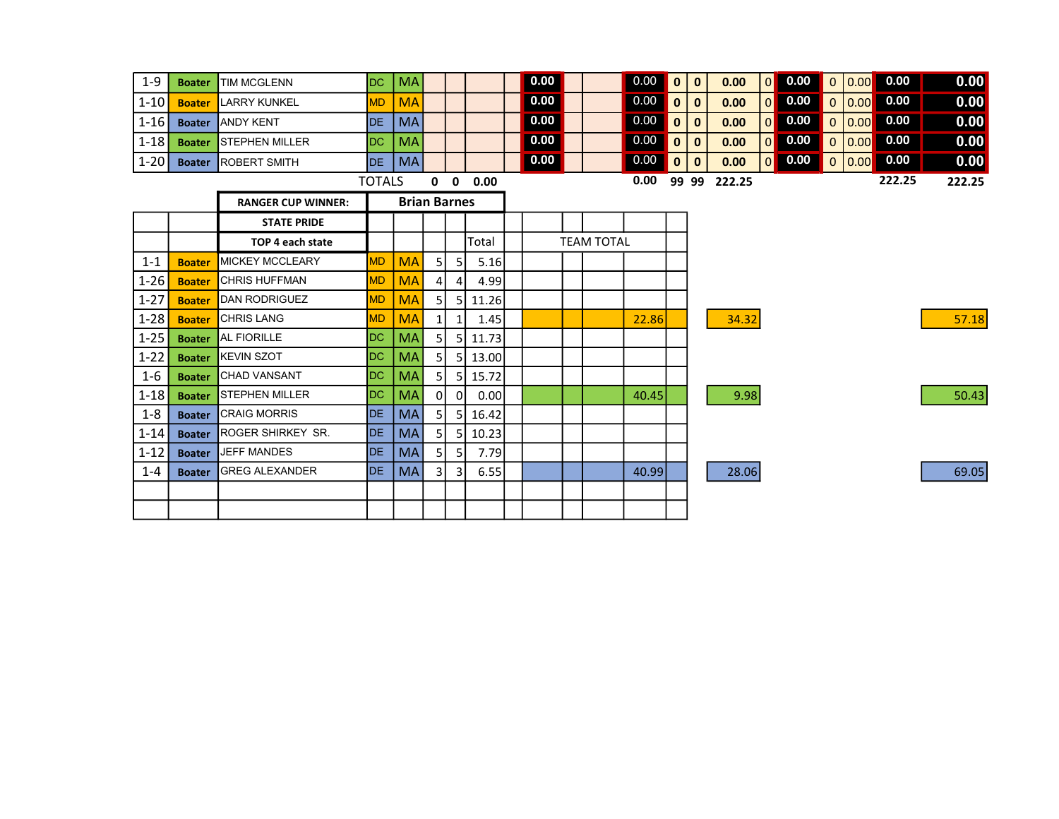| $1-9$    | <b>Boater</b> | <b>ITIM MCGLENN</b>          | IDC.       | MA        |  |      | 0.00 |  | 0.00     | 10 I  | ∣0    | 0.00   | 0              | 0.00 |                     | 0.00   | 0.00   |
|----------|---------------|------------------------------|------------|-----------|--|------|------|--|----------|-------|-------|--------|----------------|------|---------------------|--------|--------|
| $1-10$   | <b>Boater</b> | LARRY KUNKEL                 | <b>MD</b>  | <b>MA</b> |  |      | 0.00 |  | 0.00     | l 0 l | 0     | 0.00   | $\Omega$       | 0.00 |                     | 0.00   | 0.00   |
| $ 1-16 $ |               | <b>Boater LANDY KENT</b>     | <b>IDE</b> | I MA      |  |      | 0.00 |  | $0.00$ 0 |       | 0     | 0.00   | $\overline{0}$ | 0.00 | 0 0.00              | 0.00   | 0.00   |
| $1-18$   |               | <b>Boater STEPHEN MILLER</b> | IDC.       | MA        |  |      | 0.00 |  | 0.00     | I 0 I | 0     | 0.00   | 0              | 0.00 | $\overline{0}$ 0.00 | 0.00   | 0.00   |
| $1-20$   |               | <b>Boater ROBERT SMITH</b>   | <b>IDE</b> | MA        |  |      | 0.00 |  | 0.00     | l 0 l | 0     | 0.00   | 0              | 0.00 | $0$ 0.00            | 0.00   | 0.00   |
|          |               |                              | TOTALS     |           |  | 0.00 |      |  | 0.00     |       | 99 99 | 222.25 |                |      |                     | 222.25 | 222.25 |

|          |               |                           | IUIALJ              |           |                |                | <b>0</b> 0.00 | v.vv |  |  |            |       | JJ JJ LLL.LJ | ------ | LLL.LJ |
|----------|---------------|---------------------------|---------------------|-----------|----------------|----------------|---------------|------|--|--|------------|-------|--------------|--------|--------|
|          |               | <b>RANGER CUP WINNER:</b> | <b>Brian Barnes</b> |           |                |                |               |      |  |  |            |       |              |        |        |
|          |               | <b>STATE PRIDE</b>        |                     |           |                |                |               |      |  |  |            |       |              |        |        |
|          |               | TOP 4 each state          |                     |           |                |                | Total         |      |  |  | TEAM TOTAL |       |              |        |        |
| $1 - 1$  | <b>Boater</b> | <b>MICKEY MCCLEARY</b>    | <b>MD</b>           | <b>MA</b> | 51             | 5              | 5.16          |      |  |  |            |       |              |        |        |
| $1 - 26$ | <b>Boater</b> | <b>CHRIS HUFFMAN</b>      | <b>MD</b>           | <b>MA</b> | 4              | $\overline{a}$ | 4.99          |      |  |  |            |       |              |        |        |
| $1 - 27$ | <b>Boater</b> | DAN RODRIGUEZ             | <b>MD</b>           | <b>MA</b> | 51             |                | 5 11.26       |      |  |  |            |       |              |        |        |
| $1 - 28$ | <b>Boater</b> | <b>CHRIS LANG</b>         | <b>MD</b>           | <b>MA</b> | $1\vert$       |                | 1.45          |      |  |  |            | 22.86 | 34.32        |        | 57.18  |
| $1 - 25$ | <b>Boater</b> | <b>AL FIORILLE</b>        | DC                  | MA        | 51             |                | 5 11.73       |      |  |  |            |       |              |        |        |
| $1 - 22$ | <b>Boater</b> | <b>KEVIN SZOT</b>         | DC                  | <b>MA</b> | 51             | -5 I           | 13.00         |      |  |  |            |       |              |        |        |
| $1 - 6$  | <b>Boater</b> | <b>CHAD VANSANT</b>       | DC.                 | MA        | 51             |                | 5 15.72       |      |  |  |            |       |              |        |        |
| $1 - 18$ | <b>Boater</b> | <b>STEPHEN MILLER</b>     | DC.                 | <b>MA</b> | 01             | 01             | 0.00          |      |  |  |            | 40.45 | 9.98         |        | 50.43  |
| $1 - 8$  | <b>Boater</b> | <b>CRAIG MORRIS</b>       | DE                  | MA        | 5 <sub>l</sub> | 51             | 16.42         |      |  |  |            |       |              |        |        |
| $1 - 14$ | <b>Boater</b> | <b>ROGER SHIRKEY SR.</b>  | DE                  | MA        | 5 <sub>l</sub> | 51             | 10.23         |      |  |  |            |       |              |        |        |
| $1 - 12$ | <b>Boater</b> | <b>JEFF MANDES</b>        | DE                  | MA        | 51             | 5              | 7.79          |      |  |  |            |       |              |        |        |
| $1 - 4$  | <b>Boater</b> | <b>GREG ALEXANDER</b>     | DE.                 | MA        | 31             | 3              | 6.55          |      |  |  |            | 40.99 | 28.06        |        | 69.05  |
|          |               |                           |                     |           |                |                |               |      |  |  |            |       |              |        |        |
|          |               |                           |                     |           |                |                |               |      |  |  |            |       |              |        |        |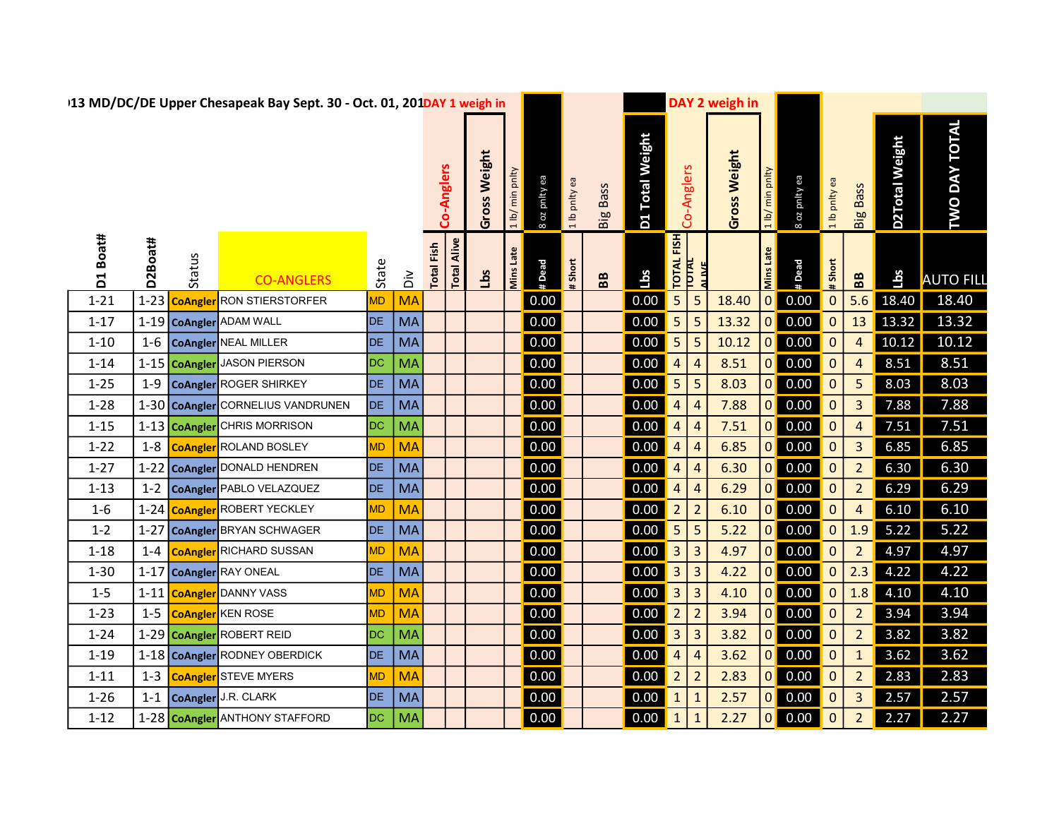|          |          |                | 113 MD/DC/DE Upper Chesapeak Bay Sept. 30 - Oct. 01, 201DAY 1 weigh in |           |                    |                   |                    |              |                 |                    |               |                   |                 |                         |                         | DAY 2 weigh in |                 |                                                                      |                |                         |                       |                      |  |
|----------|----------|----------------|------------------------------------------------------------------------|-----------|--------------------|-------------------|--------------------|--------------|-----------------|--------------------|---------------|-------------------|-----------------|-------------------------|-------------------------|----------------|-----------------|----------------------------------------------------------------------|----------------|-------------------------|-----------------------|----------------------|--|
|          |          |                |                                                                        |           |                    | Co-Anglers        |                    | Gross Weight | 1 lb/ min pnlty | 8 oz pnity ea      | 1 lb pnlty ea | <b>Big Bass</b>   | D1 Total Weight |                         | Co-Anglers              | Gross Weight   | 1 lb/ min pnlty | 8 oz pnity ea                                                        | 1 lb pnlty ea  | <b>Big Bass</b>         | <b>D2Total Weight</b> | <b>TWO DAY TOTAL</b> |  |
| D1 Boat# | D2Boat#  | Status         | <b>CO-ANGLERS</b>                                                      | State     | $\frac{2}{\Omega}$ | <b>Total Fish</b> | <b>Total Alive</b> | sq           | Mins Late       | # Dead             | # Short       | ${\bf B} {\bf B}$ | Lbs             | TOTAL FISH              |                         |                | Mins Late       | #Dead                                                                | $#$ Short      | ${\bf B} {\bf B}$       | Lbs                   | <b>AUTO FILL</b>     |  |
| $1 - 21$ | $1 - 23$ | <b>CoAngle</b> | <b>RON STIERSTORFER</b>                                                | <b>MD</b> | <b>MA</b>          |                   |                    |              |                 | 0.00               |               |                   | 0.00            | 5                       | $\overline{5}$          | 18.40          | 0               | 0.00                                                                 | $\mathbf{0}$   | 5.6                     | 18.40                 | 18.40                |  |
| $1 - 17$ |          |                | 1-19 CoAngler ADAM WALL                                                | <b>DE</b> | <b>MA</b>          |                   |                    |              |                 | 0.00               |               |                   | 0.00            | $\overline{5}$          | $\overline{5}$          | 13.32          |                 | $0\vert 0.00$                                                        | $\overline{0}$ | 13                      | 13.32                 | 13.32                |  |
| $1 - 10$ | $1 - 6$  |                | CoAngler NEAL MILLER                                                   | <b>DE</b> | MA                 |                   |                    |              |                 | 0.00               |               |                   | 0.00            | 5                       | $\overline{5}$          | 10.12          |                 | $0\vert 0.00$                                                        | $\mathbf{0}$   | $\overline{4}$          | 10.12                 | 10.12                |  |
| $1 - 14$ |          |                | 1-15 CoAngler JASON PIERSON                                            | <b>DC</b> | <b>MA</b>          |                   |                    |              |                 | 0.00               |               |                   | 0.00            | $\overline{4}$          | $\overline{4}$          | 8.51           |                 | $0\vert 0.00$                                                        | $\overline{0}$ | 4                       | 8.51                  | 8.51                 |  |
| $1 - 25$ | $1 - 9$  |                | CoAngler ROGER SHIRKEY                                                 | <b>DE</b> | <b>MA</b>          |                   |                    |              |                 | 0.00               |               |                   | 0.00            | $\overline{\mathbf{5}}$ | $\overline{5}$          | 8.03           |                 | $0\vert 0.00$                                                        | $\mathbf{0}$   | 5                       | 8.03                  | 8.03                 |  |
| $1 - 28$ |          |                | 1-30 CoAngler CORNELIUS VANDRUNEN                                      | <b>DE</b> | <b>MA</b>          |                   |                    |              |                 | 0.00               |               |                   | 0.00            | $\overline{4}$          | $\overline{4}$          | 7.88           |                 | $0\quad 0.00$                                                        | $\overline{0}$ | $\mathbf{3}$            | 7.88                  | 7.88                 |  |
| $1 - 15$ |          |                | 1-13 CoAngler CHRIS MORRISON                                           | DC        | <b>MA</b>          |                   |                    |              |                 | 0.00               |               |                   | 0.00            | $\overline{a}$          | $\boldsymbol{A}$        | 7.51           |                 | $0o$ 0.00                                                            | $\mathbf{0}$   | $\overline{4}$          | 7.51                  | 7.51                 |  |
| $1 - 22$ | $1 - 8$  |                | <b>CoAngler</b> ROLAND BOSLEY                                          | <b>MD</b> | <b>MA</b>          |                   |                    |              |                 | 0.00               |               |                   | 0.00            | $\overline{a}$          | $\overline{4}$          | 6.85           |                 | $0\vert 0.00$                                                        | $\mathbf 0$    | $\overline{\mathbf{3}}$ | 6.85                  | 6.85                 |  |
| $1 - 27$ | $1 - 22$ |                | CoAngler DONALD HENDREN                                                | DE        | MA                 |                   |                    |              |                 | 0.00               |               |                   | 0.00            | $\overline{a}$          | 4                       | 6.30           | 0               | 0.00                                                                 | $\mathbf{0}$   | $\overline{2}$          | 6.30                  | 6.30                 |  |
| $1 - 13$ | $1 - 2$  |                | CoAngler PABLO VELAZQUEZ                                               | <b>DE</b> | <b>MA</b>          |                   |                    |              |                 | 0.00               |               |                   | 0.00            | $\overline{4}$          | $\overline{4}$          | 6.29           | 0               | 0.00                                                                 | $\mathbf{0}$   | $\overline{2}$          | 6.29                  | 6.29                 |  |
| $1-6$    |          |                | 1-24 CoAngler ROBERT YECKLEY                                           | <b>MD</b> | <b>MA</b>          |                   |                    |              |                 | 0.00               |               |                   | 0.00            | $\overline{2}$          | $\overline{2}$          | 6.10           |                 | $0\vert 0.00$                                                        | $\mathbf{0}$   | 4                       | 6.10                  | 6.10                 |  |
| $1 - 2$  | $1 - 27$ |                | CoAngler BRYAN SCHWAGER                                                | <b>DE</b> | <b>MA</b>          |                   |                    |              |                 | 0.00               |               |                   | 0.00            | $\overline{\mathbf{5}}$ | $\overline{\mathbf{5}}$ | 5.22           | 0               | 0.00                                                                 | $\mathbf{0}$   | 1.9                     | 5.22                  | 5.22                 |  |
| $1 - 18$ | $1 - 4$  |                | <b>CoAngler</b> RICHARD SUSSAN                                         | <b>MD</b> | <b>MA</b>          |                   |                    |              |                 | $\vert 0.00 \vert$ |               |                   | 0.00            | $\overline{3}$          | $\mathbf{3}$            | 4.97           |                 | $0\quad 0.00$                                                        | $\mathbf{0}$   | $\overline{2}$          | 4.97                  | 4.97                 |  |
| $1 - 30$ |          |                | 1-17 CoAngler RAY ONEAL                                                | DE        | <b>MA</b>          |                   |                    |              |                 | 0.00               |               |                   | 0.00            | $\overline{3}$          | $\mathbf{3}$            | 4.22           | 0               | 0.00                                                                 | $\mathbf{0}$   | 2.3                     | 4.22                  | 4.22                 |  |
| $1 - 5$  |          |                | 1-11 CoAngler DANNY VASS                                               | <b>MD</b> | <b>MA</b>          |                   |                    |              |                 | 0.00               |               |                   | 0.00            | $\sqrt{3}$              | $\overline{\mathbf{3}}$ | 4.10           |                 | $\begin{array}{ c c } \hline \textbf{0} & \textbf{0.00} \end{array}$ | $\overline{0}$ | 1.8                     | 4.10                  | 4.10                 |  |
| $1 - 23$ | $1 - 5$  |                | <b>CoAngler</b> KEN ROSE                                               | <b>MD</b> | <b>MA</b>          |                   |                    |              |                 | 0.00               |               |                   | 0.00            | $\overline{2}$          | $\overline{2}$          | 3.94           |                 | $0\quad 0.00$                                                        | $\mathbf{0}$   | $\overline{2}$          | 3.94                  | 3.94                 |  |
| $1 - 24$ |          |                | 1-29 CoAngler ROBERT REID                                              | <b>DC</b> | <b>MA</b>          |                   |                    |              |                 | 0.00               |               |                   | 0.00            | $\overline{\mathbf{3}}$ | $\overline{\mathbf{3}}$ | 3.82           |                 | $\begin{array}{ c c } \hline \textbf{0} & \textbf{0.00} \end{array}$ | $\overline{0}$ | $\overline{2}$          | 3.82                  | 3.82                 |  |
| $1 - 19$ |          |                | 1-18 CoAngler RODNEY OBERDICK                                          | <b>DE</b> | <b>MA</b>          |                   |                    |              |                 | $\vert 0.00 \vert$ |               |                   | 0.00            | $\overline{4}$          | 4                       | 3.62           |                 | $0\vert 0.00$                                                        | $\mathbf{0}$   | $\mathbf 1$             | 3.62                  | 3.62                 |  |
| $1 - 11$ | $1 - 3$  |                | <b>CoAngler</b> STEVE MYERS                                            | <b>MD</b> | <b>MA</b>          |                   |                    |              |                 | 0.00               |               |                   | 0.00            | $\overline{2}$          | $\overline{2}$          | 2.83           |                 | $0\vert 0.00$                                                        | $\mathbf{0}$   | $\overline{2}$          | 2.83                  | 2.83                 |  |
| $1 - 26$ | $1 - 1$  |                | CoAngler J.R. CLARK                                                    | <b>DE</b> | <b>MA</b>          |                   |                    |              |                 | 0.00               |               |                   | 0.00            |                         |                         | 2.57           | 0               | 0.00                                                                 | $\mathbf 0$    | $\overline{\mathbf{3}}$ | 2.57                  | 2.57                 |  |
| $1 - 12$ |          |                | 1-28 CoAngler ANTHONY STAFFORD                                         | <b>DC</b> | <b>MA</b>          |                   |                    |              |                 | 0.00               |               |                   | 0.00            |                         | $\mathbf{1}$            | 2.27           |                 | $0\vert 0.00$                                                        | $\mathbf{0}$   | $\overline{2}$          | 2.27                  | 2.27                 |  |